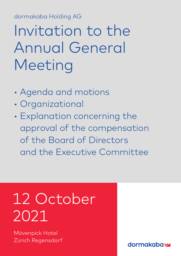dormakaba Holding AG dormakaba Holding AG

# Invitation to the Annual General Meeting

- Agenda and motions
- Organizational
- Explanation concerning the approval of the compensation of the Board of Directors and the Executive Committee

# 12 October 2021

Mövenpick Hotel Zürich Regensdorf

**dormakabazz**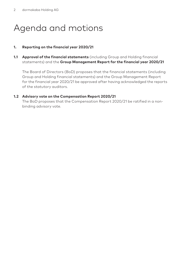# Agenda and motions

#### **1. Reporting on the financial year 2020/21**

**1.1 Approval of the financial statements** (including Group and Holding financial statements) and the **Group Management Report for the financial year 2020/21**

The Board of Directors (BoD) proposes that the financial statements (including Group and Holding financial statements) and the Group Management Report for the financial year 2020/21 be approved after having acknowledged the reports of the statutory auditors.

#### **1.2 Advisory vote on the Compensation Report 2020/21**

The BoD proposes that the Compensation Report 2020/21 be ratified in a nonbinding advisory vote.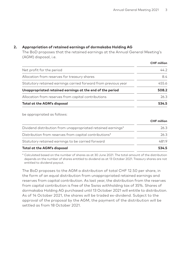**CHF** million

#### **2. Appropriation of retained earnings of dormakaba Holding AG**

The BoD proposes that the retained earnings at the Annual General Meeting's (AGM) disposal, i.e.

|                                                                | CHF million |
|----------------------------------------------------------------|-------------|
| Net profit for the period                                      | 44.2        |
| Allocation from reserves for treasury shares                   | 8.4         |
| Statutory retained earnings carried forward from previous year | 455.6       |
| Unappropriated retained earnings at the end of the period      | 508.2       |
| Allocation from reserves from capital contributions            | 26.3        |
| Total at the AGM's disposal                                    | 534.5       |

be appropriated as follows:

|                                                              | <b>CHF MILLON</b> |
|--------------------------------------------------------------|-------------------|
| Dividend distribution from unappropriated retained earnings* | 26.3              |
| Distribution from reserves from capital contributions*       | 26.3              |
| Statutory retained earnings to be carried forward            | 4819              |
| Total at the AGM's disposal                                  | 534.5             |

\* Calculated based on the number of shares as at 30 June 2021. The total amount of the distribution depends on the number of shares entitled to dividend as at 13 October 2021. Treasury shares are not entitled to dividend payout.

The BoD proposes to the AGM a distribution of total CHF 12.50 per share, in the form of an equal distribution from unappropriated retained earnings and reserves from capital contribution. As last year, the distribution from the reserves from capital contribution is free of the Swiss withholding tax of 35%. Shares of dormakaba Holding AG purchased until 13 October 2021 will entitle to distribution. As of 14 October 2021, the shares will be traded ex-dividend. Subject to the approval of the proposal by the AGM, the payment of the distribution will be settled as from 18 October 2021.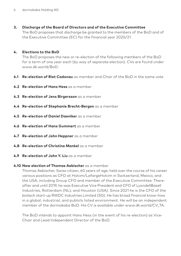**3. Discharge of the Board of Directors and of the Executive Committee** The BoD proposes that discharge be granted to the members of the BoD and of the Executive Committee (EC) for the financial year 2020/21.

#### **4. Elections to the BoD**

The BoD proposes the new or re-election of the following members of the BoD for a term of one year each (by way of separate election). CVs are found under www.dk.world/BoD.

- **4.1 Re-election of Riet Cadonau** as member and Chair of the BoD in the same vote
- **4.2 Re-election of Hans Hess** as a member
- **4.3 Re-election of Jens Birgersson** as a member
- **4.4 Re-election of Stephanie Brecht-Bergen** as a member
- **4.5 Re-election of Daniel Daeniker** as a member
- **4.6 Re-election of Hans Gummert** as a member
- **4.7 Re-election of John Heppner** as a member
- **4.8 Re-election of Christine Mankel** as a member
- **4.9 Re-election of John Y. Liu** as a member

#### **4.10 New election of Thomas Aebischer** as a member

Thomas Aebischer, Swiss citizen, 60 years of age, held over the course of his career various positions as CFO at Holcim/LafargeHolcim in Switzerland, Mexico, and the USA, including Group CFO and member of the Executive Committee. Thereafter and until 2019, he was Executive Vice President and CFO of LyondellBasell Industries, Rotterdam (NL), and Houston (USA). Since 2021 he is the CFO of the biotech start-up RWDC Industries Limited (SG). He has broad financial know-how in a global, industrial, and publicly listed environment. He will be an independent member of the dormakaba BoD. His CV is available under www.dk.world/CV\_TA.

The BoD intends to appoint Hans Hess (in the event of his re-election) as Vice-Chair and Lead Independent Director of the BoD.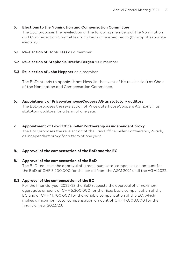#### **5. Elections to the Nomination and Compensation Committee**

The BoD proposes the re-election of the following members of the Nomination and Compensation Committee for a term of one year each (by way of separate election):

- **5.1 Re-election of Hans Hess** as a member
- **5.2 Re-election of Stephanie Brecht-Bergen** as a member
- **5.3 Re-election of John Heppner** as a member

The BoD intends to appoint Hans Hess (in the event of his re-election) as Chair of the Nomination and Compensation Committee.

**6. Appointment of PricewaterhouseCoopers AG as statutory auditors**

The BoD proposes the re-election of PricewaterhouseCoopers AG, Zurich, as statutory auditors for a term of one year.

**7. Appointment of Law Office Keller Partnership as independent proxy**

The BoD proposes the re-election of the Law Office Keller Partnership, Zurich, as independent proxy for a term of one year.

#### **8. Approval of the compensation of the BoD and the EC**

#### **8.1 Approval of the compensation of the BoD**

The BoD requests the approval of a maximum total compensation amount for the BoD of CHF 3,200,000 for the period from the AGM 2021 until the AGM 2022.

### **8.2 Approval of the compensation of the EC**

For the financial year 2022/23 the BoD requests the approval of a maximum aggregate amount of CHF 5,300,000 for the fixed basic compensation of the EC and of CHF 11,700,000 for the variable compensation of the EC, which makes a maximum total compensation amount of CHF 17,000,000 for the financial year 2022/23.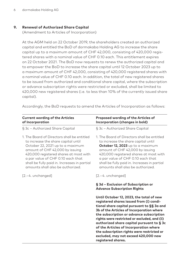#### **9. Renewal of Authorized Share Capital**

(Amendment to Articles of Incorporation)

At the AGM held on 22 October 2019, the shareholders created an authorized capital and entitled the BoD of dormakaba Holding AG to increase the share capital up to a maximum amount of CHF 42,000, consisting of 420,000 registered shares with a nominal value of CHF 0.10 each. This entitlement expires on 22 October 2021. The BoD now requests to renew the authorized capital and to empower the BoD to increase the share capital until 12 October 2023 up to a maximum amount of CHF 42,000, consisting of 420,000 registered shares with a nominal value of CHF 0.10 each. In addition, the total of new registered shares to be issued from authorized and conditional share capital, where the subscription or advance subscription rights were restricted or excluded, shall be limited to 420,000 new registered shares (i.e. to less than 10% of the currently issued share capital).

**Current wording of the Articles of Incorporation Proposed wording of the Articles of Incorporation (changes in bold)** § 3c – Authorized Share Capital 1. The Board of Directors shall be entitled to increase the share capital until October 22, 2021 up to a maximum amount of CHF 42,000 by issuing 420,000 registered shares at most with a par value of CHF 0.10 each that shall be fully paid in. Increases in partial amounts shall also be authorized. [2.– 4. unchanged] § 3c – Authorized Share Capital 1. The Board of Directors shall be entitled to increase the share capital until **October 12, 2023** up to a maximum amount of CHF 42,000 by issuing 420,000 registered shares at most with a par value of CHF 0.10 each that shall be fully paid in. Increases in partial amounts shall also be authorized. [2.– 4. unchanged] **§ 3d – Exclusion of Subscription or Advance Subscription Rights Until October 12, 2023, the total of new registered shares issued from (i) conditional share capital pursuant to §§ 3a and 3b of the Articles of Incorporation where the subscription or advance subscription rights were restricted or excluded, and (ii) authorized share capital pursuant to § 3c of the Articles of Incorporation where the subscription rights were restricted or excluded, may not exceed 420,000 new** 

**registered shares.**

Accordingly, the BoD requests to amend the Articles of Incorporation as follows: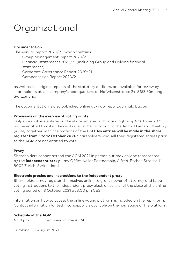# Organizational

#### **Documentation**

The Annual Report 2020/21, which contains

- Group Management Report 2020/21
- Financial statements 2020/21 (including Group and Holding financial statements)
- Corporate Governance Report 2020/21
- Compensation Report 2020/21

as well as the original reports of the statutory auditors, are available for review by shareholders at the company's headquarters at Hofwisenstrasse 24, 8153 Rümlang, Switzerland.

The documentation is also published online at www.report.dormakaba.com.

#### **Provisions on the exercise of voting rights**

Only shareholders entered in the share register with voting rights by 4 October 2021 will be entitled to vote. They will receive the invitation to the Annual General Meeting (AGM) together with the motions of the BoD. **No entries will be made in the share register from 5 to 12 October 2021.** Shareholders who sell their registered shares prior to the AGM are not entitled to vote.

#### **Proxy**

Shareholders cannot attend the AGM 2021 in person but may only be represented by the **independent proxy,** Law Office Keller Partnership, Alfred-Escher-Strasse 11, 8002 Zurich, Switzerland.

#### **Electronic proxies and instructions to the independent proxy**

Shareholders may register themselves online to grant power of attorney and issue voting instructions to the independent proxy electronically until the close of the online voting period on 8 October 2021 at 3.00 pm CEST.

Information on how to access the online voting platform is included on the reply form. Contact information for technical support is available on the homepage of the platform.

#### **Schedule of the AGM**

4.00 pm Beginning of the AGM

Rümlang, 30 August 2021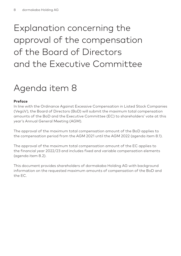# Explanation concerning the approval of the compensation of the Board of Directors and the Executive Committee

# Agenda item 8

### **Preface**

In line with the Ordinance Against Excessive Compensation in Listed Stock Companies (VegüV), the Board of Directors (BoD) will submit the maximum total compensation amounts of the BoD and the Executive Committee (EC) to shareholders' vote at this year's Annual General Meeting (AGM).

The approval of the maximum total compensation amount of the BoD applies to the compensation period from the AGM 2021 until the AGM 2022 (agenda item 8.1).

The approval of the maximum total compensation amount of the EC applies to the financial year 2022/23 and includes fixed and variable compensation elements (agenda item 8.2).

This document provides shareholders of dormakaba Holding AG with background information on the requested maximum amounts of compensation of the BoD and the EC.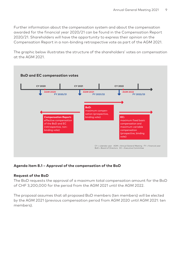Further information about the compensation system and about the compensation awarded for the financial year 2020/21 can be found in the Compensation Report 2020/21. Shareholders will have the opportunity to express their opinion on the Compensation Report in a non-binding retrospective vote as part of the AGM 2021.

The graphic below illustrates the structure of the shareholders' votes on compensation at the AGM 2021.



### **Agenda item 8.1 – Approval of the compensation of the BoD**

#### **Request of the BoD**

The BoD requests the approval of a maximum total compensation amount for the BoD of CHF 3,200,000 for the period from the AGM 2021 until the AGM 2022.

The proposal assumes that all proposed BoD members (ten members) will be elected by the AGM 2021 (previous compensation period from AGM 2020 until AGM 2021: ten members).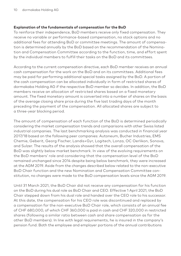#### **Explanation of the fundamentals of compensation for the BoD**

To reinforce their independence, BoD members receive only fixed compensation. They receive no variable or performance-based compensation, no stock options and no additional fees for attending BoD or committee meetings. The amount of compensation is determined annually by the BoD based on the recommendation of the Nomination and Compensation Committee according to the function, time, and effort spent by the individual members to fulfill their tasks on the BoD and its committees.

According to the current compensation directive, each BoD member receives an annual cash compensation for the work on the BoD and on its committees. Additional fees may be paid for performing additional special tasks assigned by the BoD. A portion of the cash compensation can be allocated individually in form of restricted shares of dormakaba Holding AG if the respective BoD member so decides. In addition, the BoD members receive an allocation of restricted shares based on a fixed monetary amount. The fixed monetary amount is converted into a number of shares on the basis of the average closing share price during the five last trading days of the month preceding the payment of the compensation. All allocated shares are subject to a three-year blocking period.

The amount of compensation of each function of the BoD is determined periodically considering the market compensation trends and comparisons with other Swiss listed industrial companies. The last benchmarking analysis was conducted in financial year 2017/18 based on the following peer companies: Autoneum, Bucher Industries, EMS Chemie, Geberit, Georg Fischer, Landis+Gyr, Logitech, Lonza, OC Oerlikon, Sonova, and Sulzer. The results of the analysis showed that the overall compensation of the BoD was slightly below market benchmark. In view of the evolving requirements on the BoD members' role and considering that the compensation level of the BoD remained unchanged since 2014 despite being below benchmark, they were increased at the AGM 2019. Aside from the changes described below related to the non-executive BoD Chair function and the new Nomination and Compensation Committee constitution, no changes were made to the BoD compensation levels since the AGM 2019.

Until 31 March 2021, the BoD Chair did not receive any compensation for his function on the BoD during his dual role as BoD Chair and CEO. Effective 1 April 2021, the BoD Chair stepped down from his dual role and handed over the CEO role to his successor. At this date, the compensation for his CEO role was discontinued and replaced by a compensation for the non-executive BoD Chair role, which consists of an annual fee of CHF 680,000, of which CHF 360,000 is paid in cash and CHF 320,000 in restricted shares (following a similar ratio between cash and share compensation as for the other BoD members). In line with legal requirements, he is insured in the company's pension fund. Both the employee and employer portions of the annual contributions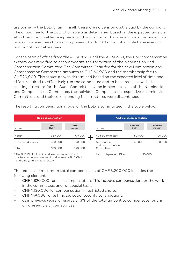are borne by the BoD Chair himself, therefore no pension cost is paid by the company. The annual fee for the BoD Chair role was determined based on the expected time and effort required to effectively perform this role and with consideration of remuneration levels of defined benchmark companies. The BoD Chair is not eligible to receive any additional committee fees.

For the term of office from the AGM 2020 until the AGM 2021, the BoD compensation system was modified to accommodate the formation of the Nomination and Compensation Committee. The Committee Chair fee for the new Nomination and Compensation Committee amounts to CHF 60,000 and the membership fee to CHF 20,000. This structure was determined based on the expected level of time and effort required to effectively run the committee and to be consistent with the existing structure for the Audit Committee. Upon implementation of the Nomination and Compensation Committee, the individual Compensation respectively Nomination Committees and their corresponding fee structures were discontinued.

The resulting compensation model of the BoD is summarized in the table below.

| <b>Basic compensation</b>                            |                      | <b>Additional compensation</b> |                               |                    |                     |
|------------------------------------------------------|----------------------|--------------------------------|-------------------------------|--------------------|---------------------|
| in CHF                                               | <b>BoD</b><br>Chair* | <b>BoD</b><br>member           | in CHF                        | Committee<br>Chair | Committee<br>member |
| in cash                                              | 360,000              | 100,000                        | Audit Committee               | 60,000             | 20,000              |
| in restricted shares                                 | 320,000              | 90.000                         | Nomination                    | 60.000             | 20,000              |
| Total                                                | 680,000              | 190,000                        | and Compensation<br>Committee |                    |                     |
| * The BoD Chair did not receive any compensation for |                      |                                | Lead Independent Director     |                    | 30.000              |

\* The BoD Chair did not receive any compensation for his function when he acted in a dual role as BoD Chair and CEO (until 31 March 2021).

The requested maximum total compensation of CHF 3,200,000 includes the following elements:

- CHF 1,820,000 for cash compensation. This includes compensation for the work in the committees and for special tasks,
- CHF 1,130,000 for compensation in restricted shares,
- CHF 149,000 for estimated social security contributions,
- as in previous years, a reserve of 3% of the total amount to compensate for any unforeseeable circumstances.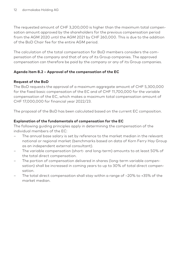The requested amount of CHF 3,200,000 is higher than the maximum total compensation amount approved by the shareholders for the previous compensation period from the AGM 2020 until the AGM 2021 by CHF 260,000. This is due to the addition of the BoD Chair fee for the entire AGM period.

The calculation of the total compensation for BoD members considers the compensation of the company and that of any of its Group companies. The approved compensation can therefore be paid by the company or any of its Group companies.

## **Agenda item 8.2 – Approval of the compensation of the EC**

## **Request of the BoD**

The BoD requests the approval of a maximum aggregate amount of CHF 5,300,000 for the fixed basic compensation of the EC and of CHF 11,700,000 for the variable compensation of the EC, which makes a maximum total compensation amount of CHF 17,000,000 for financial year 2022/23.

The proposal of the BoD has been calculated based on the current EC composition.

## **Explanation of the fundamentals of compensation for the EC**

The following guiding principles apply in determining the compensation of the individual members of the EC:

- The annual base salary is set by reference to the market median in the relevant national or regional market (benchmarks based on data of Korn Ferry Hay Group as an independent external consultant).
- The variable compensation (short- and long-term) amounts to at least 50% of the total direct compensation.
- The portion of compensation delivered in shares (long-term variable compensation) shall be increased in coming years to up to 30% of total direct compensation.
- The total direct compensation shall stay within a range of –20% to +35% of the market median.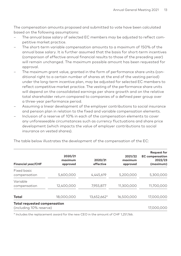The compensation amounts proposed and submitted to vote have been calculated based on the following assumptions:

- The annual base salary of selected EC members may be adjusted to reflect competitive market practice.
- The short-term variable compensation amounts to a maximum of 150% of the annual base salary. It is further assumed that the basis for short-term incentives (comparison of effective annual financial results to those of the preceding year) will remain unchanged. The maximum possible amount has been requested for approval.
- The maximum grant value, granted in the form of performance share units (conditional right to a certain number of shares at the end of the vesting period) under the long-term incentive plan, may be adjusted for selected EC members to reflect competitive market practice. The vesting of the performance share units will depend on the consolidated earnings per share growth and on the relative total shareholder return compared to companies of a defined peer group over a three-year performance period.
- Assuming a linear development of the employer contributions to social insurance and pension plan in relation to the fixed and variable compensation elements.
- Inclusion of a reserve of 10% in each of the compensation elements to cover any unforeseeable circumstances such as currency fluctuations and share price development (which impacts the value of employer contributions to social insurance on vested shares).

| <b>Financial year/CHF</b>                                      | 2020/21<br>maximum<br>approved | 2020/21<br>effective | 2021/22<br>maximum<br>approved | <b>Request for</b><br><b>EC</b> compensation<br>2022/23<br>(maximum) |
|----------------------------------------------------------------|--------------------------------|----------------------|--------------------------------|----------------------------------------------------------------------|
| Fixed basic<br>compensation                                    | 5,600,000                      | 4,445,619            | 5,200,000                      | 5,300,000                                                            |
| Variable<br>compensation                                       | 12,400,000                     | 7,955,877            | 11,300,000                     | 11,700,000                                                           |
| Total                                                          | 18,000,000                     | 13,652,662*          | 16,500,000                     | 17,000,000                                                           |
| <b>Total requested compensation</b><br>(including 10% reserve) |                                |                      |                                | 17,000,000                                                           |

The table below illustrates the development of the compensation of the EC:

\* Includes the replacement award for the new CEO in the amount of CHF 1,251,166.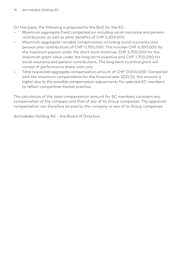On this basis, the following is proposed by the BoD for the EC:

- Maximum aggregate fixed compensation including social insurance and pension contributions as well as other benefits of CHF 5,300,000.
- Maximum aggregate variable compensation including social insurance and pension plan contributions of CHF 11,700,000. This includes CHF 6,300,000 for the maximum payout under the short-term incentive, CHF 3,700,000 for the maximum grant value under the long-term incentive and CHF 1,700,000 for social insurance and pension contributions. The long-term incentive grant will consist of performance share units only.
- Total requested aggregate compensation amount of CHF 17,000,000. Compared with the maximum compensation for the financial year 2021/22, the amount is higher due to the possible compensation adjustments for selected EC members to reflect competitive market practice.

The calculation of the total compensation amount for EC members considers any compensation of the company and that of any of its Group companies. The approved compensation can therefore be paid by the company or any of its Group companies.

dormakaba Holding AG – the Board of Directors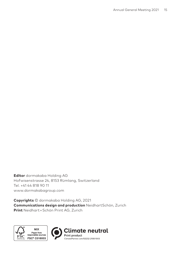**Editor** dormakaba Holding AG Hofwisenstrasse 24, 8153 Rümlang, Switzerland Tel. +41 44 818 90 11 www.dormakabagroup.com

**Copyrights** © dormakaba Holding AG, 2021 **Communications design and production** NeidhartSchön, Zurich **Print** Neidhart + Schön Print AG, Zurich